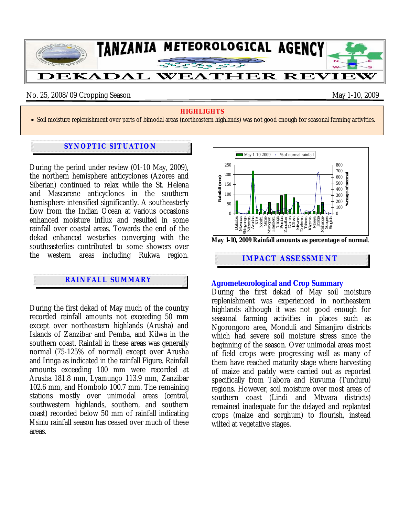

#### No. 25, 2008/09 Cropping Season May 1-10, 2009

#### **HIGHLIGHTS**

• Soil moisture replenishment over parts of bimodal areas (northeastern highlands) was not good enough for seasonal farming activities.

### **SYNOPTIC SITUATION**

During the period under review (01-10 May, 2009), the northern hemisphere anticyclones (Azores and Siberian) continued to relax while the St. Helena and Mascarene anticyclones in the southern hemisphere intensified significantly. A southeasterly flow from the Indian Ocean at various occasions enhanced moisture influx and resulted in some rainfall over coastal areas. Towards the end of the dekad enhanced westerlies converging with the southeasterlies contributed to some showers over the western areas including Rukwa region.

# **RAINFALL SUMMARY**

During the first dekad of May much of the country recorded rainfall amounts not exceeding 50 mm except over northeastern highlands (Arusha) and Islands of Zanzibar and Pemba, and Kilwa in the southern coast. Rainfall in these areas was generally normal (75-125% of normal) except over Arusha and Iringa as indicated in the rainfall Figure. Rainfall amounts exceeding 100 mm were recorded at Arusha 181.8 mm, Lyamungo 113.9 mm, Zanzibar 102.6 mm, and Hombolo 100.7 mm. The remaining stations mostly over unimodal areas (central, southwestern highlands, southern, and southern coast) recorded below 50 mm of rainfall indicating *Msimu* rainfall season has ceased over much of these areas.



#### **Agrometeorological and Crop Summary**

During the first dekad of May soil moisture replenishment was experienced in northeastern highlands although it was not good enough for seasonal farming activities in places such as Ngorongoro area, Monduli and Simanjiro districts which had severe soil moisture stress since the beginning of the season. Over unimodal areas most of field crops were progressing well as many of them have reached maturity stage where harvesting of maize and paddy were carried out as reported specifically from Tabora and Ruvuma (Tunduru) regions. However, soil moisture over most areas of southern coast (Lindi and Mtwara districts) remained inadequate for the delayed and replanted crops (maize and sorghum) to flourish, instead wilted at vegetative stages.